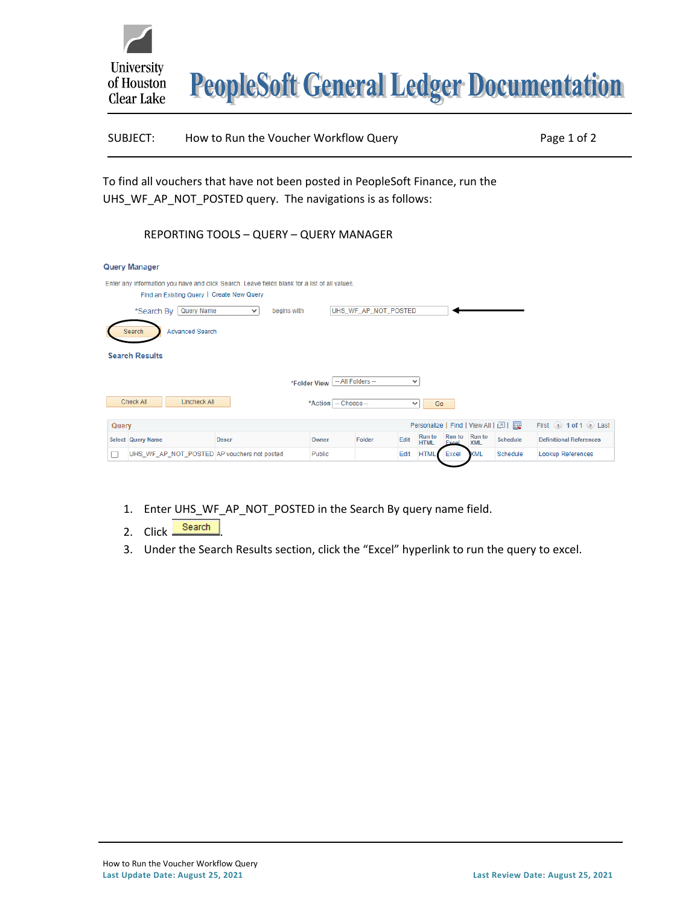

| SUBJECT: | How to Run the Voucher Workflow Query | Page 1 of 2 |
|----------|---------------------------------------|-------------|
|          |                                       |             |

To find all vouchers that have not been posted in PeopleSoft Finance, run the UHS\_WF\_AP\_NOT\_POSTED query. The navigations is as follows:

## REPORTING TOOLS – QUERY – QUERY MANAGER

|                                                                                                                                            | <b>Query Manager</b>                        |                             |                        |                      |              |                       |                               |                             |          |                                |  |  |  |
|--------------------------------------------------------------------------------------------------------------------------------------------|---------------------------------------------|-----------------------------|------------------------|----------------------|--------------|-----------------------|-------------------------------|-----------------------------|----------|--------------------------------|--|--|--|
| Enter any information you have and click Search. Leave fields blank for a list of all values.<br>Find an Existing Query   Create New Query |                                             |                             |                        |                      |              |                       |                               |                             |          |                                |  |  |  |
|                                                                                                                                            | Query Name<br>*Search By                    | begins with<br>$\checkmark$ |                        | UHS WF AP NOT POSTED |              |                       |                               |                             |          |                                |  |  |  |
|                                                                                                                                            | <b>Advanced Search</b><br>Search            |                             |                        |                      |              |                       |                               |                             |          |                                |  |  |  |
|                                                                                                                                            | <b>Search Results</b>                       |                             |                        |                      |              |                       |                               |                             |          |                                |  |  |  |
| -- All Folders --<br>$\checkmark$<br>*Folder View                                                                                          |                                             |                             |                        |                      |              |                       |                               |                             |          |                                |  |  |  |
|                                                                                                                                            | Check All<br><b>Uncheck All</b>             |                             | *Action   -- Choose -- |                      | $\checkmark$ | Go                    |                               |                             |          |                                |  |  |  |
| Query                                                                                                                                      |                                             | First 4 1 of 1 2 Last       |                        |                      |              |                       |                               |                             |          |                                |  |  |  |
|                                                                                                                                            | Select Query Name                           | <b>Descr</b>                | Owner                  | Folder               | Edit         | Run to<br><b>HTML</b> | <b>Run to</b><br><b>Excel</b> | <b>Run</b> to<br><b>XML</b> | Schedule | <b>Definitional References</b> |  |  |  |
|                                                                                                                                            | UHS WF AP NOT POSTED AP vouchers not posted |                             | <b>Public</b>          |                      | Edit         | <b>HTM</b>            | Excel                         | <b>KML</b>                  | Schedule | <b>Lookup References</b>       |  |  |  |

- 1. Enter UHS\_WF\_AP\_NOT\_POSTED in the Search By query name field.
- 2. Click Search
- 3. Under the Search Results section, click the "Excel" hyperlink to run the query to excel.